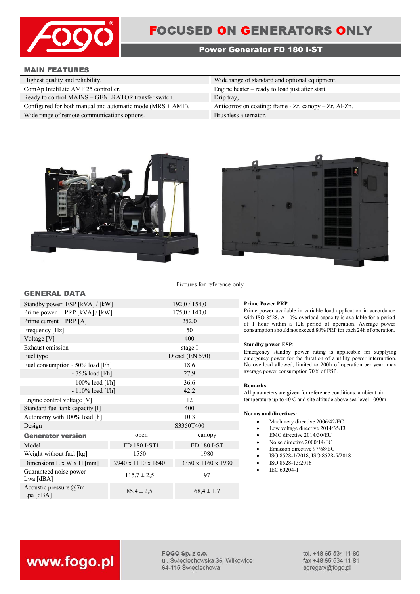

## **FOCUSED ON GENERATORS ONLY**

### **Power Generator FD 180 I-ST**

### **MAIN FEATURES**

**GENERAL DATA**

| Highest quality and reliability.                              | Wide range of standard and optional equipment.               |
|---------------------------------------------------------------|--------------------------------------------------------------|
| ComAp InteliLite AMF 25 controller.                           | Engine heater $-$ ready to load just after start.            |
| Ready to control MAINS – GENERATOR transfer switch.           | Drip tray,                                                   |
| Configured for both manual and automatic mode $(MRS + AMF)$ . | Anticorrosion coating: frame - $Zr$ , canopy - $Zr$ , Al-Zn. |
| Wide range of remote communications options.                  | Brushless alternator.                                        |





Pictures for reference only

| Standby power ESP [kVA] / [kW]         |                    | 192,0/154,0        |  |
|----------------------------------------|--------------------|--------------------|--|
| Prime power PRP [kVA] / [kW]           |                    | 175,0/140,0        |  |
| Prime current PRP [A]                  |                    | 252,0              |  |
| Frequency [Hz]                         |                    | 50                 |  |
| Voltage [V]                            |                    | 400                |  |
| Exhaust emission                       |                    | stage I            |  |
| Fuel type                              |                    | Diesel (EN 590)    |  |
| Fuel consumption - 50% load [l/h]      |                    | 18,6               |  |
| $-75%$ load [l/h]                      |                    | 27,9               |  |
| $-100\%$ load [l/h]                    |                    | 36,6               |  |
| $-110\%$ load [l/h]                    |                    | 42,2               |  |
| Engine control voltage [V]             |                    | 12                 |  |
| Standard fuel tank capacity [1]        |                    | 400                |  |
| Autonomy with 100% load [h]            |                    | 10,3               |  |
| Design                                 |                    | S3350T400          |  |
| <b>Generator version</b>               | open               | canopy             |  |
| Model                                  | FD 180 I-ST1       | FD 180 I-ST        |  |
| Weight without fuel [kg]               | 1550               | 1980               |  |
| Dimensions L x W x H [mm]              | 2940 x 1110 x 1640 | 3350 x 1160 x 1930 |  |
| Guaranteed noise power<br>Lwa [dBA]    | $115.7 \pm 2.5$    | 97                 |  |
| Acoustic pressure $@7m$<br>$Lpa$ [dBA] | $85,4 \pm 2,5$     | $68,4 \pm 1,7$     |  |

### **Prime Power PRP:**

Prime power available in variable load application in accordance with ISO 8528, A 10% overload capacity is available for a period of 1 hour within a 12h period of operation. Average power consumption should not exceed 80% PRP for each 24h of operation.

### **Standby power ESP**:

Emergency standby power rating is applicable for supplying emergency power for the duration of a utility power interruption. No overload allowed, limited to 200h of operation per year, max average power consumption 70% of ESP.

### **Remarks**:

All parameters are given for reference conditions: ambient air temperature up to 40 C and site altitude above sea level 1000m.

### **Norms and directives:**

- Machinery directive 2006/42/EC
- Low voltage directive 2014/35/EU
- EMC directive 2014/30/EU
- Noise directive 2000/14/EC
- Emission directive 97/68/EC
- ISO 8528-1/2018, ISO 8528-5/2018
- ISO 8528-13:2016
- IEC 60204-1

# www.fogo.pl

FOGO Sp. z o.o. ul. Świeciechowska 36, Wilkowice 64-115 Święciechowa

tel. +48 65 534 11 80 fax +48 65 534 11 81 agregaty@fogo.pl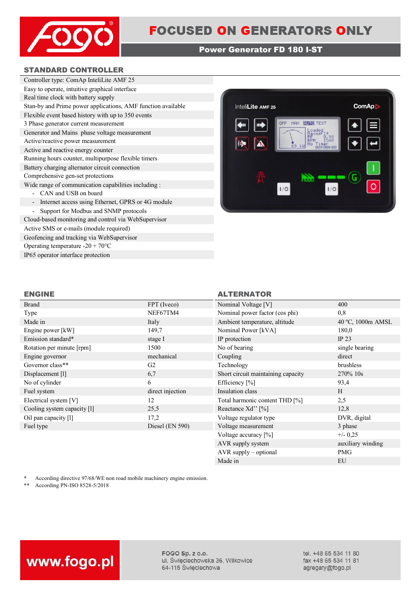

### **Power Generator FD 180 I-ST**

### **STANDARD CONTROLLER**

| Controller type: ComAp InteliLite AMF 25                                      |
|-------------------------------------------------------------------------------|
| Easy to operate, intuitive graphical interface                                |
| Real time clock with battery supply                                           |
| Stan-by and Prime power applications, AMF function available                  |
| Flexible event based history with up to 350 events                            |
| 3 Phase generator current measurement                                         |
| Generator and Mains phase voltage measurement                                 |
| Active/reactive power measurement                                             |
| Active and reactive energy counter                                            |
| Running hours counter, multipurpose flexible timers                           |
| Battery charging alternator circuit connection                                |
| Comprehensive gen-set protections                                             |
| Wide range of communication capabilities including :                          |
| CAN and USB on board                                                          |
| Internet access using Ethernet, GPRS or 4G module<br>$\overline{\phantom{0}}$ |
| Support for Modbus and SNMP protocols                                         |
| Cloud-based monitoring and control via WebSupervisor                          |

Active SMS or e-mails (module required) Geofencing and tracking via WebSupervisor Operating temperature -20 + 70°C IP65 operator interface protection



### **ENGINE ALTERNATOR**

| <b>Brand</b>                | FPT (Iveco)       | Nominal Voltage [V]                | 400               |
|-----------------------------|-------------------|------------------------------------|-------------------|
| Type                        | NEF67TM4          | Nominal power factor (cos phi)     | 0,8               |
| Made in                     | Italy             | Ambient temperature, altitude      | 40 °C, 1000m AMSL |
| Engine power [kW]           | 149,7             | Nominal Power [kVA]                | 180,0             |
| Emission standard*          | stage I           | IP protection                      | IP $23$           |
| Rotation per minute [rpm]   | 1500              | No of bearing                      | single bearing    |
| Engine governor             | mechanical        | Coupling                           | direct            |
| Governor class**            | G <sub>2</sub>    | Technology                         | brushless         |
| Displacement [1]            | 6,7               | Short circuit maintaining capacity | 270% 10s          |
| No of cylinder              | 6                 | Efficiency [%]                     | 93,4              |
| Fuel system                 | direct injection  | Insulation class                   | H                 |
| Electrical system [V]       | 12                | Total harmonic content THD [%]     | 2,5               |
| Cooling system capacity [1] | 25,5              | Reactance Xd'' [%]                 | 12,8              |
| Oil pan capacity [1]        | 17,2              | Voltage regulator type             | DVR, digital      |
| Fuel type                   | Diesel $(EN 590)$ | Voltage measurement                | 3 phase           |
|                             |                   | Voltage accuracy [%]               | $+/- 0.25$        |
|                             |                   | AVR supply system                  | auxiliary winding |

\* According directive 97/68/WE non road mobile machinery engine emission.<br>\*\* According PN-ISO 8528-5/2018

**\*\*** According PN-ISO 8528-5/2018



FOGO Sp. z o.o. ul. Święciechowska 36, Wilkowice 64-115 Święciechowa

tel. +48 65 534 11 80 fax +48 65 534 11 81 agregaty@fogo.pl

AVR supply – optional PMG Made in EU